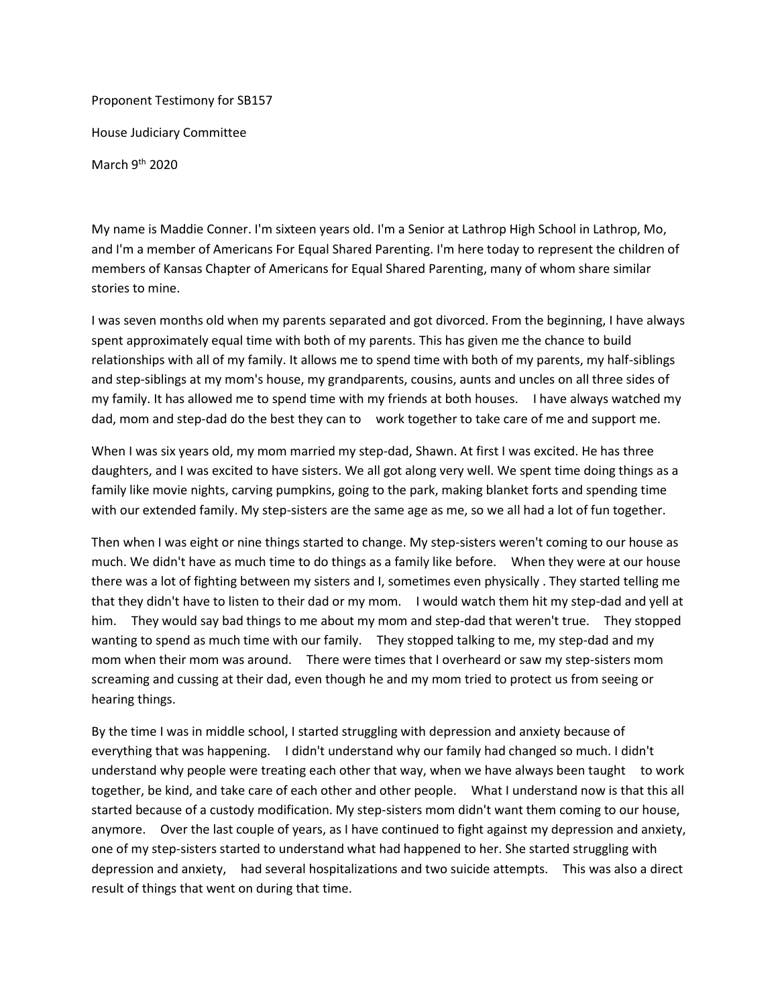Proponent Testimony for SB157 House Judiciary Committee

March  $9^{th}$  2020

My name is Maddie Conner. I'm sixteen years old. I'm a Senior at Lathrop High School in Lathrop, Mo, and I'm a member of Americans For Equal Shared Parenting. I'm here today to represent the children of members of Kansas Chapter of Americans for Equal Shared Parenting, many of whom share similar stories to mine.

I was seven months old when my parents separated and got divorced. From the beginning, I have always spent approximately equal time with both of my parents. This has given me the chance to build relationships with all of my family. It allows me to spend time with both of my parents, my half-siblings and step-siblings at my mom's house, my grandparents, cousins, aunts and uncles on all three sides of my family. It has allowed me to spend time with my friends at both houses. I have always watched my dad, mom and step-dad do the best they can to work together to take care of me and support me.

When I was six years old, my mom married my step-dad, Shawn. At first I was excited. He has three daughters, and I was excited to have sisters. We all got along very well. We spent time doing things as a family like movie nights, carving pumpkins, going to the park, making blanket forts and spending time with our extended family. My step-sisters are the same age as me, so we all had a lot of fun together.

Then when I was eight or nine things started to change. My step-sisters weren't coming to our house as much. We didn't have as much time to do things as a family like before. When they were at our house there was a lot of fighting between my sisters and I, sometimes even physically . They started telling me that they didn't have to listen to their dad or my mom. I would watch them hit my step-dad and yell at him. They would say bad things to me about my mom and step-dad that weren't true. They stopped wanting to spend as much time with our family. They stopped talking to me, my step-dad and my mom when their mom was around. There were times that I overheard or saw my step-sisters mom screaming and cussing at their dad, even though he and my mom tried to protect us from seeing or hearing things.

By the time I was in middle school, I started struggling with depression and anxiety because of everything that was happening. I didn't understand why our family had changed so much. I didn't understand why people were treating each other that way, when we have always been taught to work together, be kind, and take care of each other and other people. What I understand now is that this all started because of a custody modification. My step-sisters mom didn't want them coming to our house, anymore. Over the last couple of years, as I have continued to fight against my depression and anxiety, one of my step-sisters started to understand what had happened to her. She started struggling with depression and anxiety, had several hospitalizations and two suicide attempts. This was also a direct result of things that went on during that time.